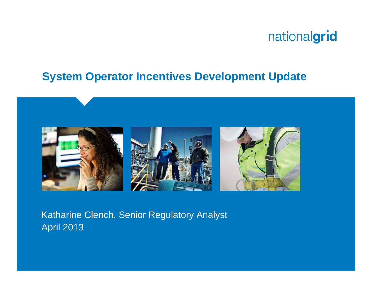#### **System Operator Incentives Development Update**



Katharine Clench, Senior Regulatory Analyst April 2013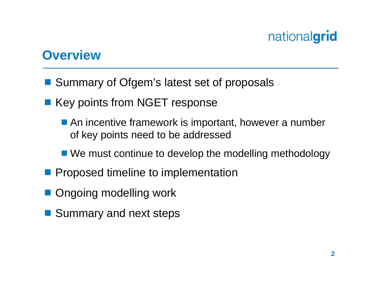#### **Overview**

- Summary of Ofgem's latest set of proposals
- Key points from NGET response
	- An incentive framework is important, however a number of key points need to be addressed
	- We must continue to develop the modelling methodology
- **Proposed timeline to implementation**
- Ongoing modelling work
- Summary and next steps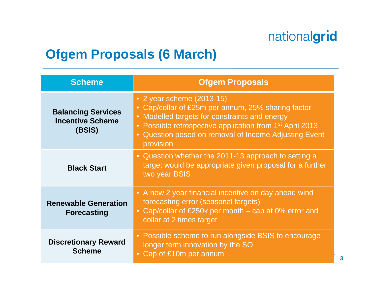#### **Ofgem Proposals (6 March)**

| <b>Scheme</b>                                                  | <b>Ofgem Proposals</b>                                                                                                                                                                                                                                                       |
|----------------------------------------------------------------|------------------------------------------------------------------------------------------------------------------------------------------------------------------------------------------------------------------------------------------------------------------------------|
| <b>Balancing Services</b><br><b>Incentive Scheme</b><br>(BSIS) | • 2 year scheme (2013-15)<br>• Cap/collar of £25m per annum, 25% sharing factor<br>• Modelled targets for constraints and energy<br>• Possible retrospective application from 1 <sup>st</sup> April 2013<br>Question posed on removal of Income Adjusting Event<br>provision |
| <b>Black Start</b>                                             | • Question whether the 2011-13 approach to setting a<br>target would be appropriate given proposal for a further<br>two year BSIS                                                                                                                                            |
| <b>Renewable Generation</b><br><b>Forecasting</b>              | • A new 2 year financial incentive on day ahead wind<br>forecasting error (seasonal targets)<br>Cap/collar of £250k per month $-$ cap at 0% error and<br>$\bullet$<br>collar at 2 times target                                                                               |
| <b>Discretionary Reward</b><br><b>Scheme</b>                   | • Possible scheme to run alongside BSIS to encourage<br>longer term innovation by the SO<br>Cap of £10m per annum                                                                                                                                                            |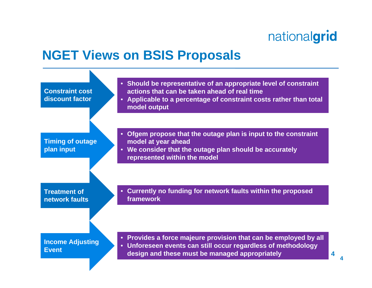#### **NGET Views on BSIS Proposals**

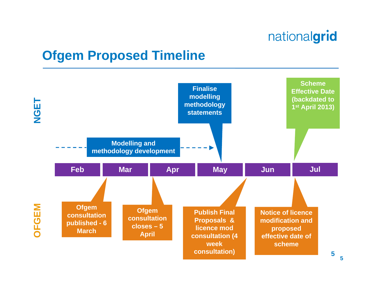## **Ofgem Proposed Timeline**



**5**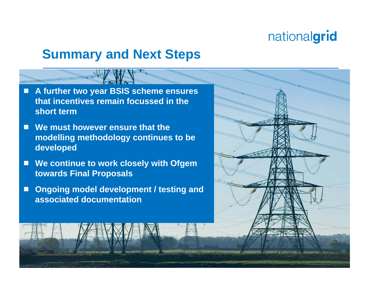#### **Summary and Next Steps**

- $\Box$  **A further two year BSIS scheme ensures that incentives remain focussed in the short term**
- $\Box$  **We must however ensure that the modelling methodology continues to be developed**
- $\Box$  **We continue to work closely with Ofgem towards Final Proposals**
- $\Box$  **Ongoing model development / testing and associated documentation**

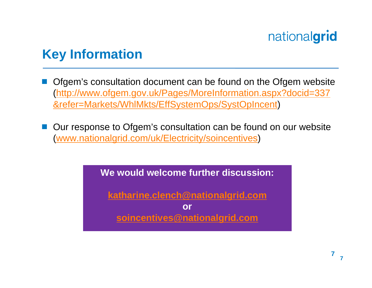## **Key Information**

- Ofgem's consultation document can be found on the Ofgem website (http://www.ofgem.gov.uk/Pages/MoreInformation.aspx?docid=337 &refer=Markets/WhlMkts/EffSystemOps/SystOpIncent)
- Our response to Ofgem's consultation can be found on our website (www.nationalgrid.com/uk/Electricity/soincentives)

**We would welcome further discussion:** 

**katharine.clench@nationalgrid.com**

**or soincentives@nationalgrid.com**